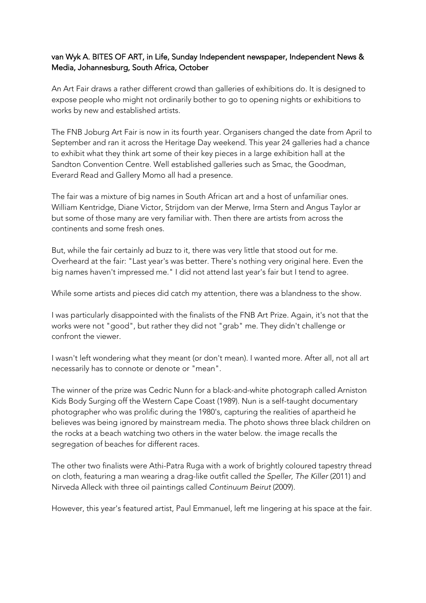## van Wyk A. BITES OF ART, in Life, Sunday Independent newspaper, Independent News & Media, Johannesburg, South Africa, October

An Art Fair draws a rather different crowd than galleries of exhibitions do. It is designed to expose people who might not ordinarily bother to go to opening nights or exhibitions to works by new and established artists.

The FNB Joburg Art Fair is now in its fourth year. Organisers changed the date from April to September and ran it across the Heritage Day weekend. This year 24 galleries had a chance to exhibit what they think art some of their key pieces in a large exhibition hall at the Sandton Convention Centre. Well established galleries such as Smac, the Goodman, Everard Read and Gallery Momo all had a presence.

The fair was a mixture of big names in South African art and a host of unfamiliar ones. William Kentridge, Diane Victor, Strijdom van der Merwe, Irma Stern and Angus Taylor ar but some of those many are very familiar with. Then there are artists from across the continents and some fresh ones.

But, while the fair certainly ad buzz to it, there was very little that stood out for me. Overheard at the fair: "Last year's was better. There's nothing very original here. Even the big names haven't impressed me." I did not attend last year's fair but I tend to agree.

While some artists and pieces did catch my attention, there was a blandness to the show.

I was particularly disappointed with the finalists of the FNB Art Prize. Again, it's not that the works were not "good", but rather they did not "grab" me. They didn't challenge or confront the viewer.

I wasn't left wondering what they meant (or don't mean). I wanted more. After all, not all art necessarily has to connote or denote or "mean".

The winner of the prize was Cedric Nunn for a black-and-white photograph called Arniston Kids Body Surging off the Western Cape Coast (1989). Nun is a self-taught documentary photographer who was prolific during the 1980's, capturing the realities of apartheid he believes was being ignored by mainstream media. The photo shows three black children on the rocks at a beach watching two others in the water below. the image recalls the segregation of beaches for different races.

The other two finalists were Athi-Patra Ruga with a work of brightly coloured tapestry thread on cloth, featuring a man wearing a drag-like outfit called *the Speller, The Killer* (2011) and Nirveda Alleck with three oil paintings called *Continuum Beirut* (2009).

However, this year's featured artist, Paul Emmanuel, left me lingering at his space at the fair.